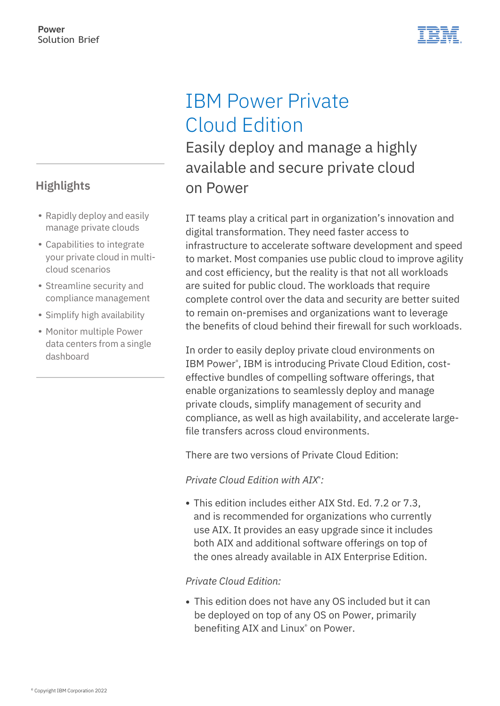

## IBM Power Private Cloud Edition

Easily deploy and manage a highly available and secure private cloud on Power

IT teams play a critical part in organization's innovation and digital transformation. They need faster access to infrastructure to accelerate software development and speed to market. Most companies use public cloud to improve agility and cost efficiency, but the reality is that not all workloads are suited for public cloud. The workloads that require complete control over the data and security are better suited to remain on-premises and organizations want to leverage the benefits of cloud behind their firewall for such workloads.

In order to easily deploy private cloud environments on IBM Power® , IBM is introducing Private Cloud Edition, costeffective bundles of compelling software offerings, that enable organizations to seamlessly deploy and manage private clouds, simplify management of security and compliance, as well as high availability, and accelerate largefile transfers across cloud environments.

There are two versions of Private Cloud Edition:

*Private Cloud Edition with AIX*® *:*

This edition includes either AIX Std. Ed. 7.2 or 7.3, and is recommended for organizations who currently use AIX. It provides an easy upgrade since it includes both AIX and additional software offerings on top of the ones already available in AIX Enterprise Edition.

*Private Cloud Edition:*

This edition does not have any OS included but it can be deployed on top of any OS on Power, primarily benefiting AIX and Linux<sup>®</sup> on Power.

## **Highlights**

- Rapidly deploy and easily manage private clouds
- Capabilities to integrate your private cloud in multicloud scenarios
- Streamline security and compliance management
- Simplify high availability
- Monitor multiple Power data centers from a single dashboard